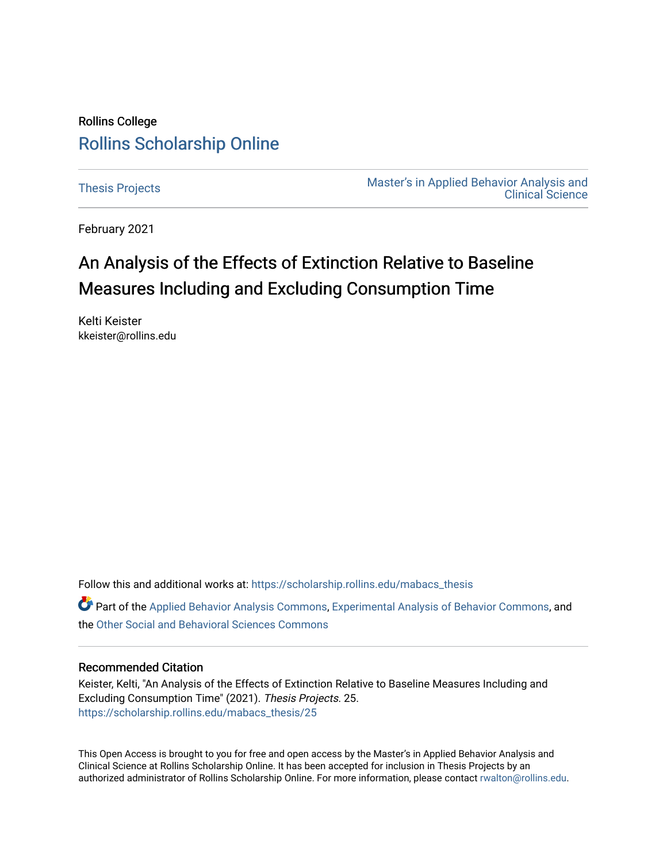## Rollins College [Rollins Scholarship Online](https://scholarship.rollins.edu/)

[Thesis Projects](https://scholarship.rollins.edu/mabacs_thesis) **Master's in Applied Behavior Analysis and** Master's in Applied Behavior Analysis and [Clinical Science](https://scholarship.rollins.edu/mabacs) 

February 2021

# An Analysis of the Effects of Extinction Relative to Baseline Measures Including and Excluding Consumption Time

Kelti Keister kkeister@rollins.edu

Follow this and additional works at: [https://scholarship.rollins.edu/mabacs\\_thesis](https://scholarship.rollins.edu/mabacs_thesis?utm_source=scholarship.rollins.edu%2Fmabacs_thesis%2F25&utm_medium=PDF&utm_campaign=PDFCoverPages) 

Part of the [Applied Behavior Analysis Commons](http://network.bepress.com/hgg/discipline/1235?utm_source=scholarship.rollins.edu%2Fmabacs_thesis%2F25&utm_medium=PDF&utm_campaign=PDFCoverPages), [Experimental Analysis of Behavior Commons](http://network.bepress.com/hgg/discipline/1236?utm_source=scholarship.rollins.edu%2Fmabacs_thesis%2F25&utm_medium=PDF&utm_campaign=PDFCoverPages), and the [Other Social and Behavioral Sciences Commons](http://network.bepress.com/hgg/discipline/437?utm_source=scholarship.rollins.edu%2Fmabacs_thesis%2F25&utm_medium=PDF&utm_campaign=PDFCoverPages) 

#### Recommended Citation

Keister, Kelti, "An Analysis of the Effects of Extinction Relative to Baseline Measures Including and Excluding Consumption Time" (2021). Thesis Projects. 25. [https://scholarship.rollins.edu/mabacs\\_thesis/25](https://scholarship.rollins.edu/mabacs_thesis/25?utm_source=scholarship.rollins.edu%2Fmabacs_thesis%2F25&utm_medium=PDF&utm_campaign=PDFCoverPages) 

This Open Access is brought to you for free and open access by the Master's in Applied Behavior Analysis and Clinical Science at Rollins Scholarship Online. It has been accepted for inclusion in Thesis Projects by an authorized administrator of Rollins Scholarship Online. For more information, please contact [rwalton@rollins.edu](mailto:rwalton@rollins.edu).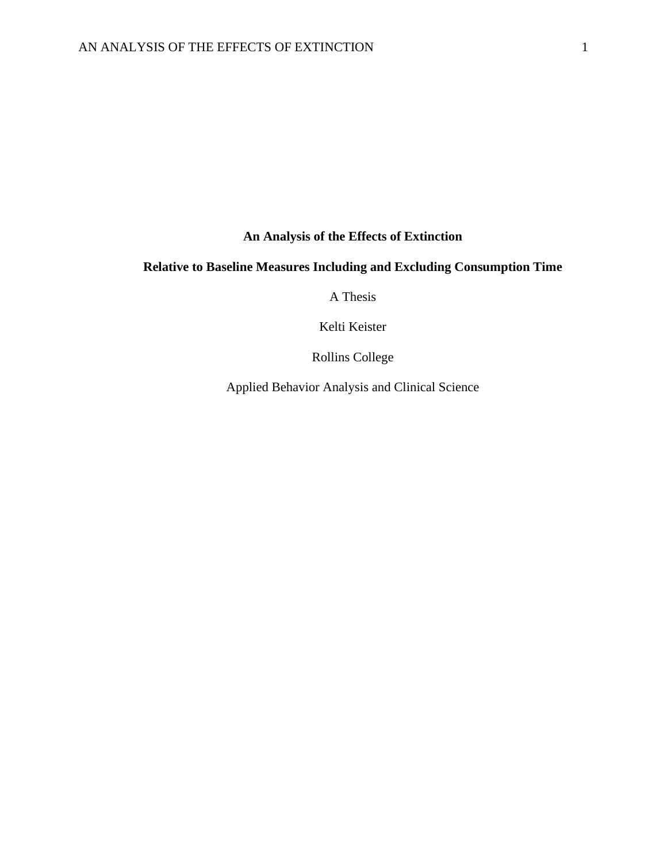**An Analysis of the Effects of Extinction** 

### **Relative to Baseline Measures Including and Excluding Consumption Time**

A Thesis

Kelti Keister

Rollins College

Applied Behavior Analysis and Clinical Science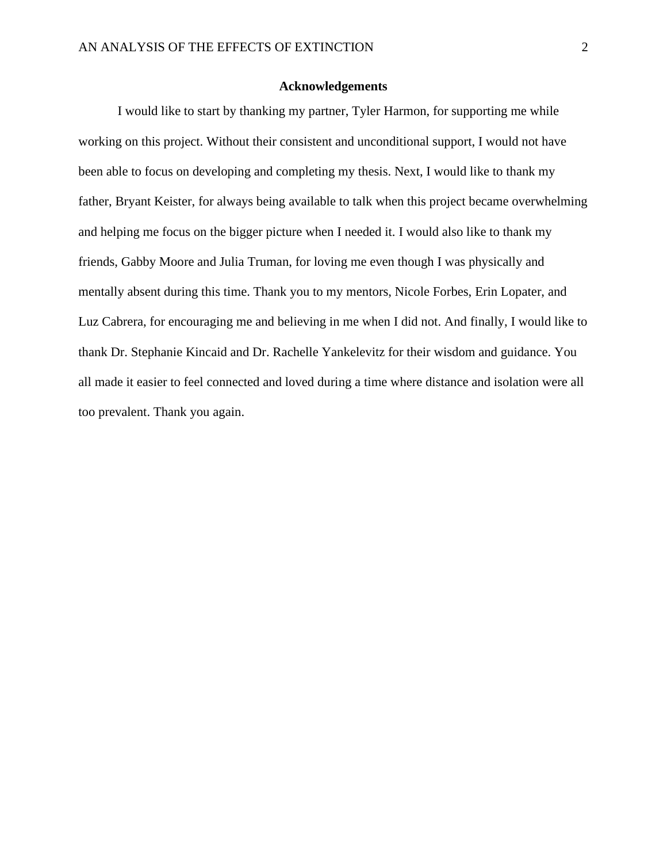#### **Acknowledgements**

I would like to start by thanking my partner, Tyler Harmon, for supporting me while working on this project. Without their consistent and unconditional support, I would not have been able to focus on developing and completing my thesis. Next, I would like to thank my father, Bryant Keister, for always being available to talk when this project became overwhelming and helping me focus on the bigger picture when I needed it. I would also like to thank my friends, Gabby Moore and Julia Truman, for loving me even though I was physically and mentally absent during this time. Thank you to my mentors, Nicole Forbes, Erin Lopater, and Luz Cabrera, for encouraging me and believing in me when I did not. And finally, I would like to thank Dr. Stephanie Kincaid and Dr. Rachelle Yankelevitz for their wisdom and guidance. You all made it easier to feel connected and loved during a time where distance and isolation were all too prevalent. Thank you again.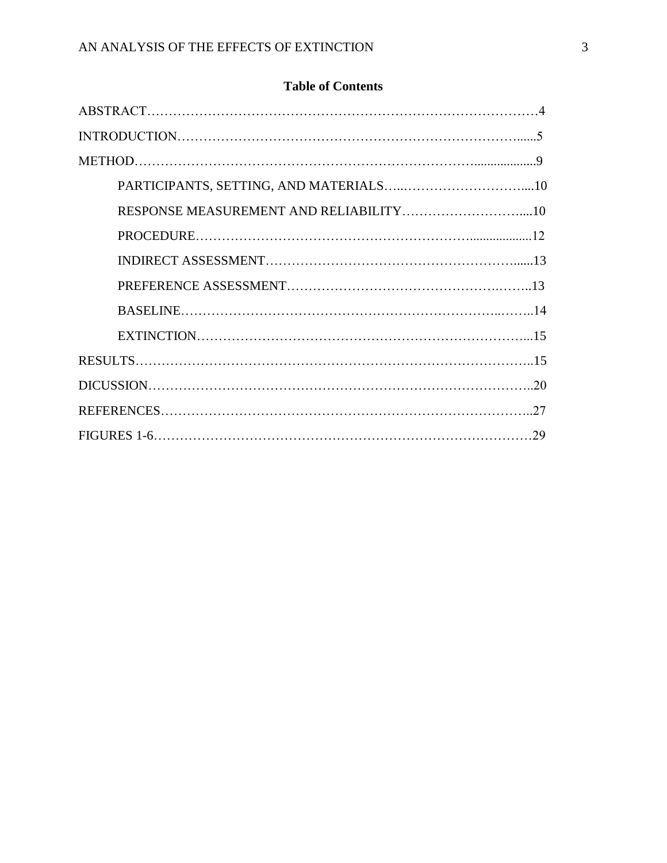### **Table of Contents**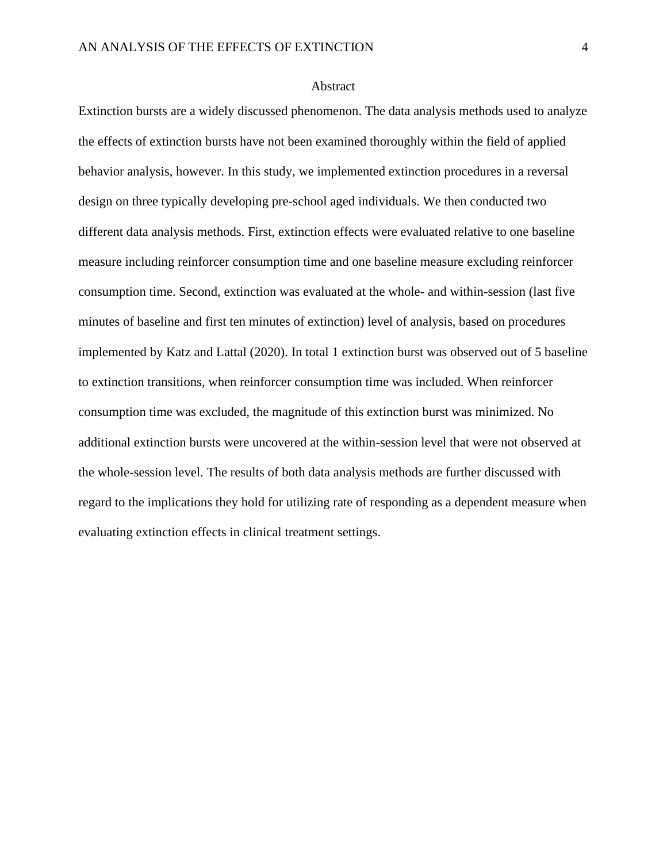#### Abstract

Extinction bursts are a widely discussed phenomenon. The data analysis methods used to analyze the effects of extinction bursts have not been examined thoroughly within the field of applied behavior analysis, however. In this study, we implemented extinction procedures in a reversal design on three typically developing pre-school aged individuals. We then conducted two different data analysis methods. First, extinction effects were evaluated relative to one baseline measure including reinforcer consumption time and one baseline measure excluding reinforcer consumption time. Second, extinction was evaluated at the whole- and within-session (last five minutes of baseline and first ten minutes of extinction) level of analysis, based on procedures implemented by Katz and Lattal (2020). In total 1 extinction burst was observed out of 5 baseline to extinction transitions, when reinforcer consumption time was included. When reinforcer consumption time was excluded, the magnitude of this extinction burst was minimized. No additional extinction bursts were uncovered at the within-session level that were not observed at the whole-session level. The results of both data analysis methods are further discussed with regard to the implications they hold for utilizing rate of responding as a dependent measure when evaluating extinction effects in clinical treatment settings.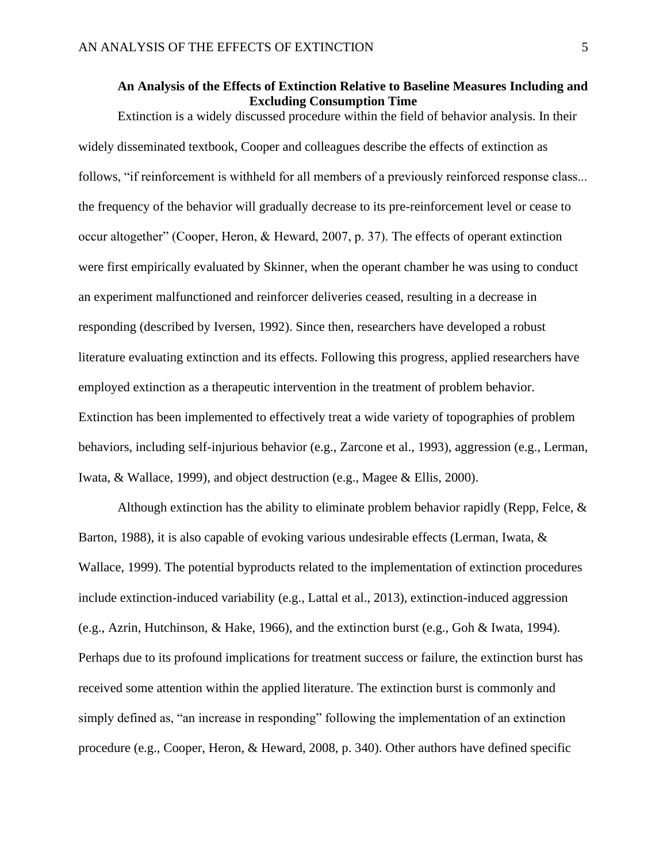### **An Analysis of the Effects of Extinction Relative to Baseline Measures Including and Excluding Consumption Time**

Extinction is a widely discussed procedure within the field of behavior analysis. In their widely disseminated textbook, Cooper and colleagues describe the effects of extinction as follows, "if reinforcement is withheld for all members of a previously reinforced response class... the frequency of the behavior will gradually decrease to its pre-reinforcement level or cease to occur altogether" (Cooper, Heron, & Heward, 2007, p. 37). The effects of operant extinction were first empirically evaluated by Skinner, when the operant chamber he was using to conduct an experiment malfunctioned and reinforcer deliveries ceased, resulting in a decrease in responding (described by Iversen, 1992). Since then, researchers have developed a robust literature evaluating extinction and its effects. Following this progress, applied researchers have employed extinction as a therapeutic intervention in the treatment of problem behavior. Extinction has been implemented to effectively treat a wide variety of topographies of problem behaviors, including self-injurious behavior (e.g., Zarcone et al., 1993), aggression (e.g., Lerman, Iwata, & Wallace, 1999), and object destruction (e.g., Magee & Ellis, 2000).

Although extinction has the ability to eliminate problem behavior rapidly (Repp, Felce, & Barton, 1988), it is also capable of evoking various undesirable effects (Lerman, Iwata, & Wallace, 1999). The potential byproducts related to the implementation of extinction procedures include extinction-induced variability (e.g., Lattal et al., 2013), extinction-induced aggression (e.g., Azrin, Hutchinson, & Hake, 1966), and the extinction burst (e.g., Goh & Iwata, 1994). Perhaps due to its profound implications for treatment success or failure, the extinction burst has received some attention within the applied literature. The extinction burst is commonly and simply defined as, "an increase in responding" following the implementation of an extinction procedure (e.g., Cooper, Heron, & Heward, 2008, p. 340). Other authors have defined specific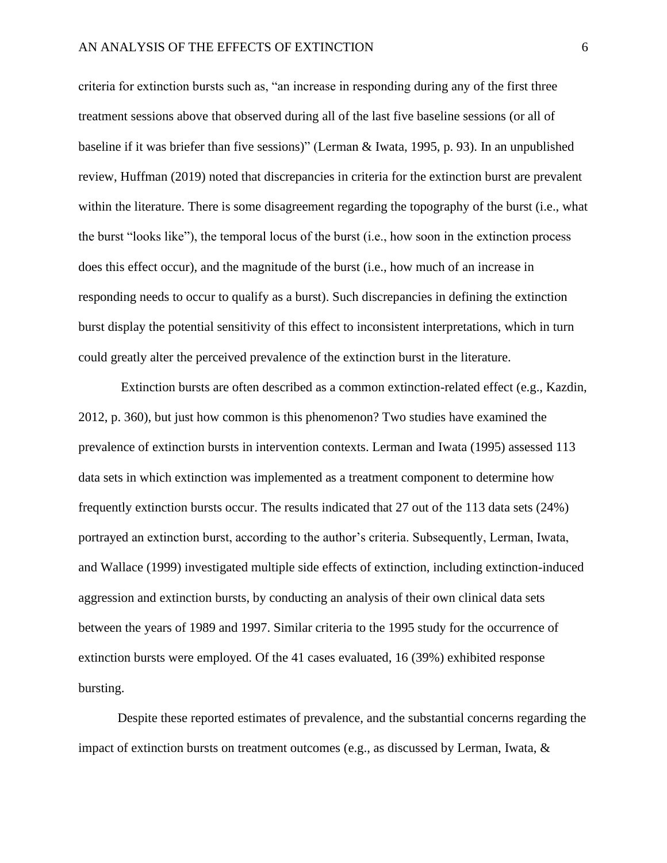criteria for extinction bursts such as, "an increase in responding during any of the first three treatment sessions above that observed during all of the last five baseline sessions (or all of baseline if it was briefer than five sessions)" (Lerman & Iwata, 1995, p. 93). In an unpublished review, Huffman (2019) noted that discrepancies in criteria for the extinction burst are prevalent within the literature. There is some disagreement regarding the topography of the burst (i.e., what the burst "looks like"), the temporal locus of the burst (i.e., how soon in the extinction process does this effect occur), and the magnitude of the burst (i.e., how much of an increase in responding needs to occur to qualify as a burst). Such discrepancies in defining the extinction burst display the potential sensitivity of this effect to inconsistent interpretations, which in turn could greatly alter the perceived prevalence of the extinction burst in the literature.

Extinction bursts are often described as a common extinction-related effect (e.g., Kazdin, 2012, p. 360), but just how common is this phenomenon? Two studies have examined the prevalence of extinction bursts in intervention contexts. Lerman and Iwata (1995) assessed 113 data sets in which extinction was implemented as a treatment component to determine how frequently extinction bursts occur. The results indicated that 27 out of the 113 data sets (24%) portrayed an extinction burst, according to the author's criteria. Subsequently, Lerman, Iwata, and Wallace (1999) investigated multiple side effects of extinction, including extinction-induced aggression and extinction bursts, by conducting an analysis of their own clinical data sets between the years of 1989 and 1997. Similar criteria to the 1995 study for the occurrence of extinction bursts were employed. Of the 41 cases evaluated, 16 (39%) exhibited response bursting.

Despite these reported estimates of prevalence, and the substantial concerns regarding the impact of extinction bursts on treatment outcomes (e.g., as discussed by Lerman, Iwata, &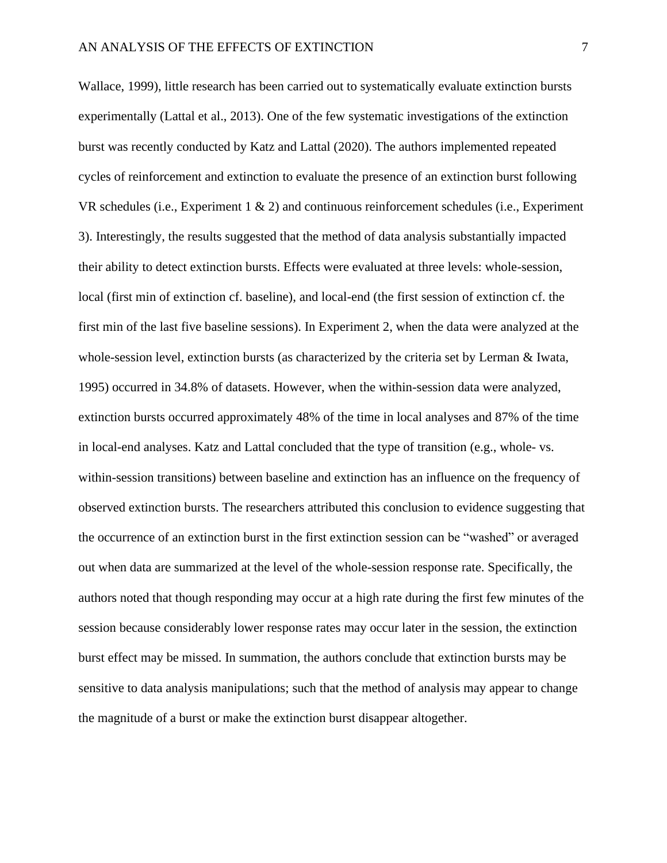Wallace, 1999), little research has been carried out to systematically evaluate extinction bursts experimentally (Lattal et al., 2013). One of the few systematic investigations of the extinction burst was recently conducted by Katz and Lattal (2020). The authors implemented repeated cycles of reinforcement and extinction to evaluate the presence of an extinction burst following VR schedules (i.e., Experiment 1 & 2) and continuous reinforcement schedules (i.e., Experiment 3). Interestingly, the results suggested that the method of data analysis substantially impacted their ability to detect extinction bursts. Effects were evaluated at three levels: whole-session, local (first min of extinction cf. baseline), and local-end (the first session of extinction cf. the first min of the last five baseline sessions). In Experiment 2, when the data were analyzed at the whole-session level, extinction bursts (as characterized by the criteria set by Lerman & Iwata, 1995) occurred in 34.8% of datasets. However, when the within-session data were analyzed, extinction bursts occurred approximately 48% of the time in local analyses and 87% of the time in local-end analyses. Katz and Lattal concluded that the type of transition (e.g., whole- vs. within-session transitions) between baseline and extinction has an influence on the frequency of observed extinction bursts. The researchers attributed this conclusion to evidence suggesting that the occurrence of an extinction burst in the first extinction session can be "washed" or averaged out when data are summarized at the level of the whole-session response rate. Specifically, the authors noted that though responding may occur at a high rate during the first few minutes of the session because considerably lower response rates may occur later in the session, the extinction burst effect may be missed. In summation, the authors conclude that extinction bursts may be sensitive to data analysis manipulations; such that the method of analysis may appear to change the magnitude of a burst or make the extinction burst disappear altogether.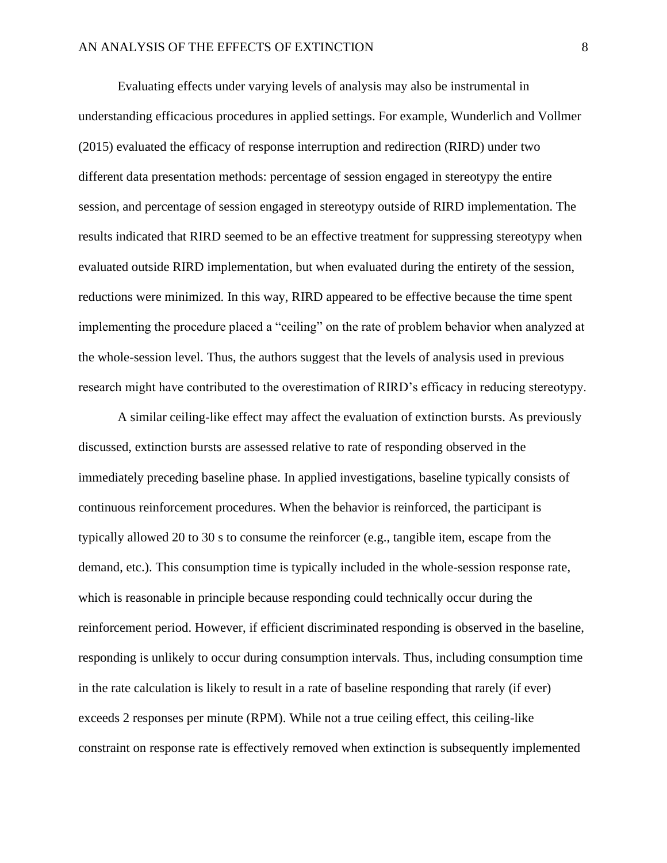Evaluating effects under varying levels of analysis may also be instrumental in understanding efficacious procedures in applied settings. For example, Wunderlich and Vollmer (2015) evaluated the efficacy of response interruption and redirection (RIRD) under two different data presentation methods: percentage of session engaged in stereotypy the entire session, and percentage of session engaged in stereotypy outside of RIRD implementation. The results indicated that RIRD seemed to be an effective treatment for suppressing stereotypy when evaluated outside RIRD implementation, but when evaluated during the entirety of the session, reductions were minimized. In this way, RIRD appeared to be effective because the time spent implementing the procedure placed a "ceiling" on the rate of problem behavior when analyzed at the whole-session level. Thus, the authors suggest that the levels of analysis used in previous research might have contributed to the overestimation of RIRD's efficacy in reducing stereotypy.

A similar ceiling-like effect may affect the evaluation of extinction bursts. As previously discussed, extinction bursts are assessed relative to rate of responding observed in the immediately preceding baseline phase. In applied investigations, baseline typically consists of continuous reinforcement procedures. When the behavior is reinforced, the participant is typically allowed 20 to 30 s to consume the reinforcer (e.g., tangible item, escape from the demand, etc.). This consumption time is typically included in the whole-session response rate, which is reasonable in principle because responding could technically occur during the reinforcement period. However, if efficient discriminated responding is observed in the baseline, responding is unlikely to occur during consumption intervals. Thus, including consumption time in the rate calculation is likely to result in a rate of baseline responding that rarely (if ever) exceeds 2 responses per minute (RPM). While not a true ceiling effect, this ceiling-like constraint on response rate is effectively removed when extinction is subsequently implemented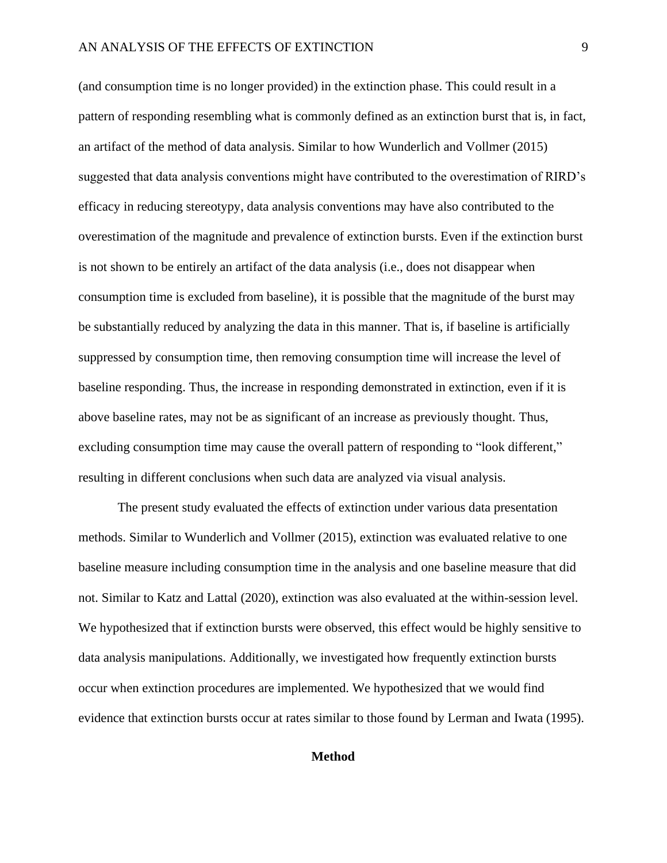(and consumption time is no longer provided) in the extinction phase. This could result in a pattern of responding resembling what is commonly defined as an extinction burst that is, in fact, an artifact of the method of data analysis. Similar to how Wunderlich and Vollmer (2015) suggested that data analysis conventions might have contributed to the overestimation of RIRD's efficacy in reducing stereotypy, data analysis conventions may have also contributed to the overestimation of the magnitude and prevalence of extinction bursts. Even if the extinction burst is not shown to be entirely an artifact of the data analysis (i.e., does not disappear when consumption time is excluded from baseline), it is possible that the magnitude of the burst may be substantially reduced by analyzing the data in this manner. That is, if baseline is artificially suppressed by consumption time, then removing consumption time will increase the level of baseline responding. Thus, the increase in responding demonstrated in extinction, even if it is above baseline rates, may not be as significant of an increase as previously thought. Thus, excluding consumption time may cause the overall pattern of responding to "look different," resulting in different conclusions when such data are analyzed via visual analysis.

The present study evaluated the effects of extinction under various data presentation methods. Similar to Wunderlich and Vollmer (2015), extinction was evaluated relative to one baseline measure including consumption time in the analysis and one baseline measure that did not. Similar to Katz and Lattal (2020), extinction was also evaluated at the within-session level. We hypothesized that if extinction bursts were observed, this effect would be highly sensitive to data analysis manipulations. Additionally, we investigated how frequently extinction bursts occur when extinction procedures are implemented. We hypothesized that we would find evidence that extinction bursts occur at rates similar to those found by Lerman and Iwata (1995).

#### **Method**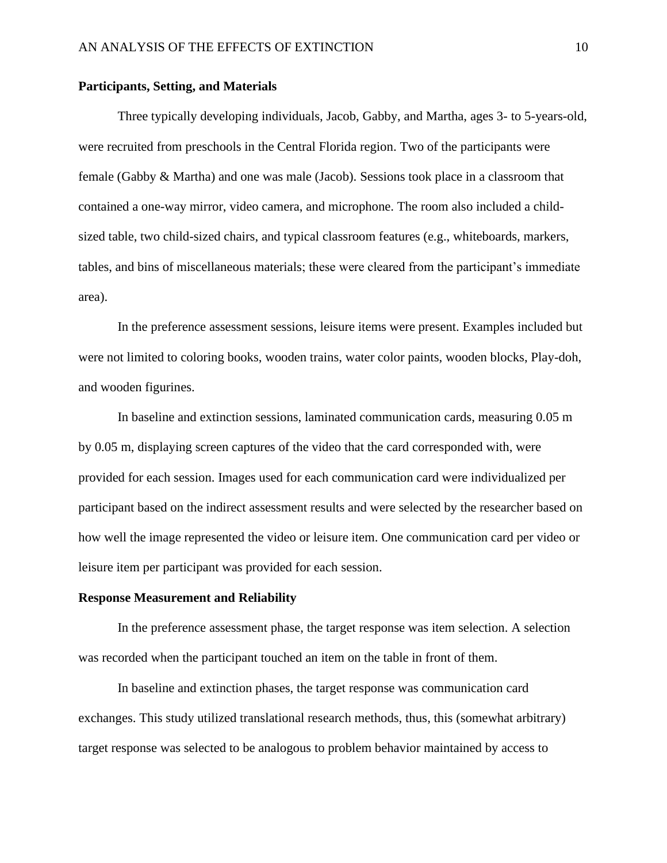#### **Participants, Setting, and Materials**

Three typically developing individuals, Jacob, Gabby, and Martha, ages 3- to 5-years-old, were recruited from preschools in the Central Florida region. Two of the participants were female (Gabby & Martha) and one was male (Jacob). Sessions took place in a classroom that contained a one-way mirror, video camera, and microphone. The room also included a childsized table, two child-sized chairs, and typical classroom features (e.g., whiteboards, markers, tables, and bins of miscellaneous materials; these were cleared from the participant's immediate area).

In the preference assessment sessions, leisure items were present. Examples included but were not limited to coloring books, wooden trains, water color paints, wooden blocks, Play-doh, and wooden figurines.

In baseline and extinction sessions, laminated communication cards, measuring 0.05 m by 0.05 m, displaying screen captures of the video that the card corresponded with, were provided for each session. Images used for each communication card were individualized per participant based on the indirect assessment results and were selected by the researcher based on how well the image represented the video or leisure item. One communication card per video or leisure item per participant was provided for each session.

#### **Response Measurement and Reliability**

In the preference assessment phase, the target response was item selection. A selection was recorded when the participant touched an item on the table in front of them.

In baseline and extinction phases, the target response was communication card exchanges. This study utilized translational research methods, thus, this (somewhat arbitrary) target response was selected to be analogous to problem behavior maintained by access to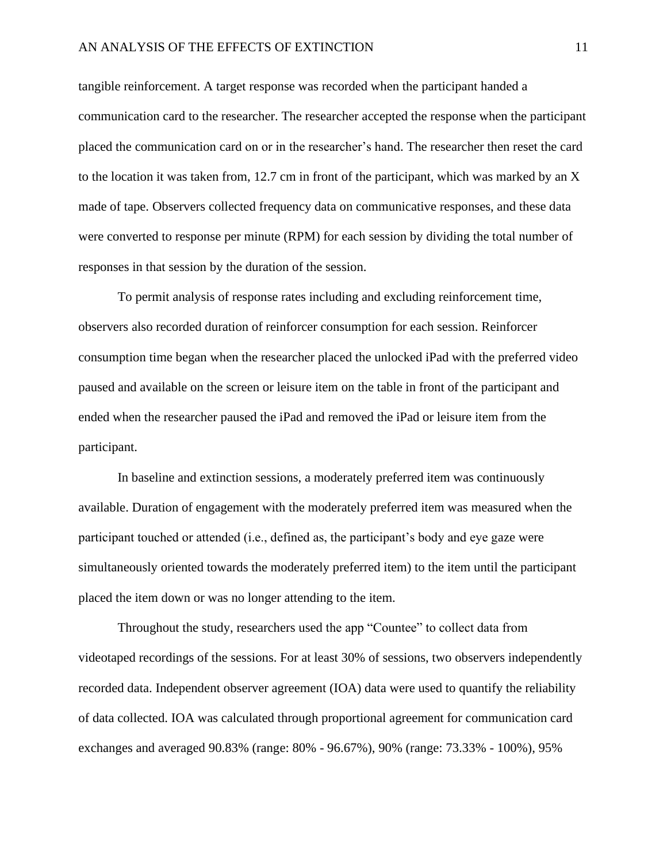tangible reinforcement. A target response was recorded when the participant handed a communication card to the researcher. The researcher accepted the response when the participant placed the communication card on or in the researcher's hand. The researcher then reset the card to the location it was taken from, 12.7 cm in front of the participant, which was marked by an X made of tape. Observers collected frequency data on communicative responses, and these data were converted to response per minute (RPM) for each session by dividing the total number of responses in that session by the duration of the session.

To permit analysis of response rates including and excluding reinforcement time, observers also recorded duration of reinforcer consumption for each session. Reinforcer consumption time began when the researcher placed the unlocked iPad with the preferred video paused and available on the screen or leisure item on the table in front of the participant and ended when the researcher paused the iPad and removed the iPad or leisure item from the participant.

In baseline and extinction sessions, a moderately preferred item was continuously available. Duration of engagement with the moderately preferred item was measured when the participant touched or attended (i.e., defined as, the participant's body and eye gaze were simultaneously oriented towards the moderately preferred item) to the item until the participant placed the item down or was no longer attending to the item.

Throughout the study, researchers used the app "Countee" to collect data from videotaped recordings of the sessions. For at least 30% of sessions, two observers independently recorded data. Independent observer agreement (IOA) data were used to quantify the reliability of data collected. IOA was calculated through proportional agreement for communication card exchanges and averaged 90.83% (range: 80% - 96.67%), 90% (range: 73.33% - 100%), 95%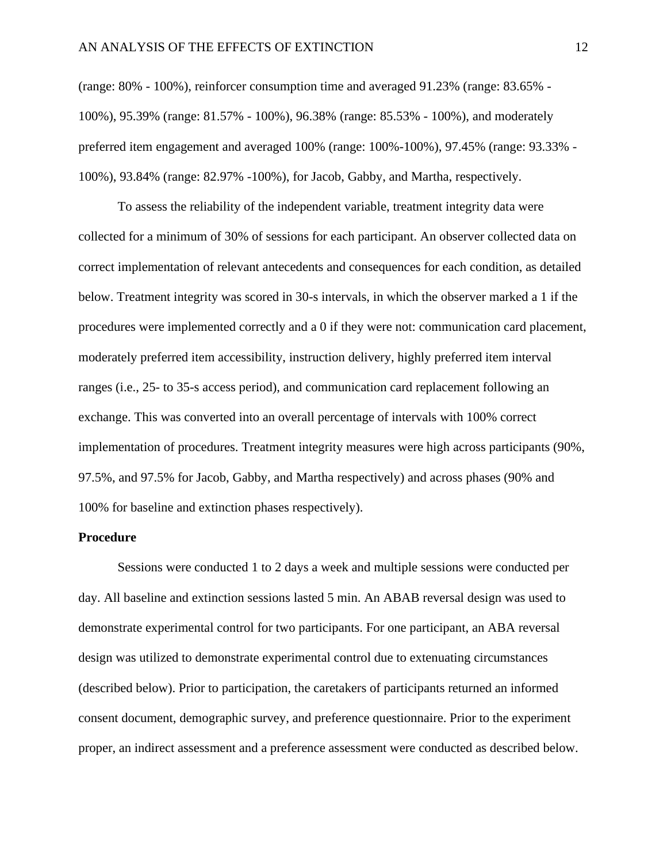(range: 80% - 100%), reinforcer consumption time and averaged 91.23% (range: 83.65% - 100%), 95.39% (range: 81.57% - 100%), 96.38% (range: 85.53% - 100%), and moderately preferred item engagement and averaged 100% (range: 100%-100%), 97.45% (range: 93.33% - 100%), 93.84% (range: 82.97% -100%), for Jacob, Gabby, and Martha, respectively.

To assess the reliability of the independent variable, treatment integrity data were collected for a minimum of 30% of sessions for each participant. An observer collected data on correct implementation of relevant antecedents and consequences for each condition, as detailed below. Treatment integrity was scored in 30-s intervals, in which the observer marked a 1 if the procedures were implemented correctly and a 0 if they were not: communication card placement, moderately preferred item accessibility, instruction delivery, highly preferred item interval ranges (i.e., 25- to 35-s access period), and communication card replacement following an exchange. This was converted into an overall percentage of intervals with 100% correct implementation of procedures. Treatment integrity measures were high across participants (90%, 97.5%, and 97.5% for Jacob, Gabby, and Martha respectively) and across phases (90% and 100% for baseline and extinction phases respectively).

#### **Procedure**

Sessions were conducted 1 to 2 days a week and multiple sessions were conducted per day. All baseline and extinction sessions lasted 5 min. An ABAB reversal design was used to demonstrate experimental control for two participants. For one participant, an ABA reversal design was utilized to demonstrate experimental control due to extenuating circumstances (described below). Prior to participation, the caretakers of participants returned an informed consent document, demographic survey, and preference questionnaire. Prior to the experiment proper, an indirect assessment and a preference assessment were conducted as described below.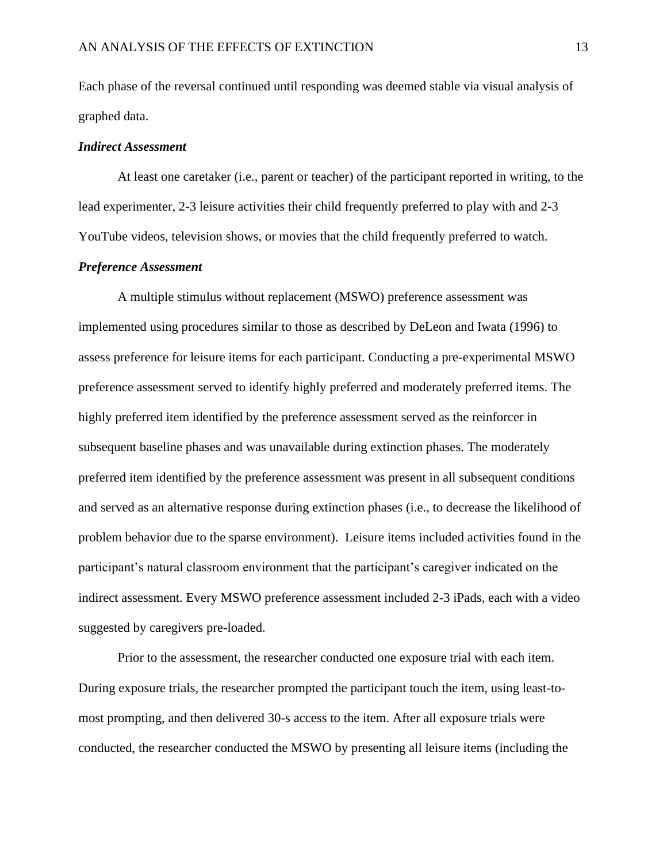Each phase of the reversal continued until responding was deemed stable via visual analysis of graphed data.

#### *Indirect Assessment*

At least one caretaker (i.e., parent or teacher) of the participant reported in writing, to the lead experimenter, 2-3 leisure activities their child frequently preferred to play with and 2-3 YouTube videos, television shows, or movies that the child frequently preferred to watch.

#### *Preference Assessment*

A multiple stimulus without replacement (MSWO) preference assessment was implemented using procedures similar to those as described by DeLeon and Iwata (1996) to assess preference for leisure items for each participant. Conducting a pre-experimental MSWO preference assessment served to identify highly preferred and moderately preferred items. The highly preferred item identified by the preference assessment served as the reinforcer in subsequent baseline phases and was unavailable during extinction phases. The moderately preferred item identified by the preference assessment was present in all subsequent conditions and served as an alternative response during extinction phases (i.e., to decrease the likelihood of problem behavior due to the sparse environment). Leisure items included activities found in the participant's natural classroom environment that the participant's caregiver indicated on the indirect assessment. Every MSWO preference assessment included 2-3 iPads, each with a video suggested by caregivers pre-loaded.

Prior to the assessment, the researcher conducted one exposure trial with each item. During exposure trials, the researcher prompted the participant touch the item, using least-tomost prompting, and then delivered 30-s access to the item. After all exposure trials were conducted, the researcher conducted the MSWO by presenting all leisure items (including the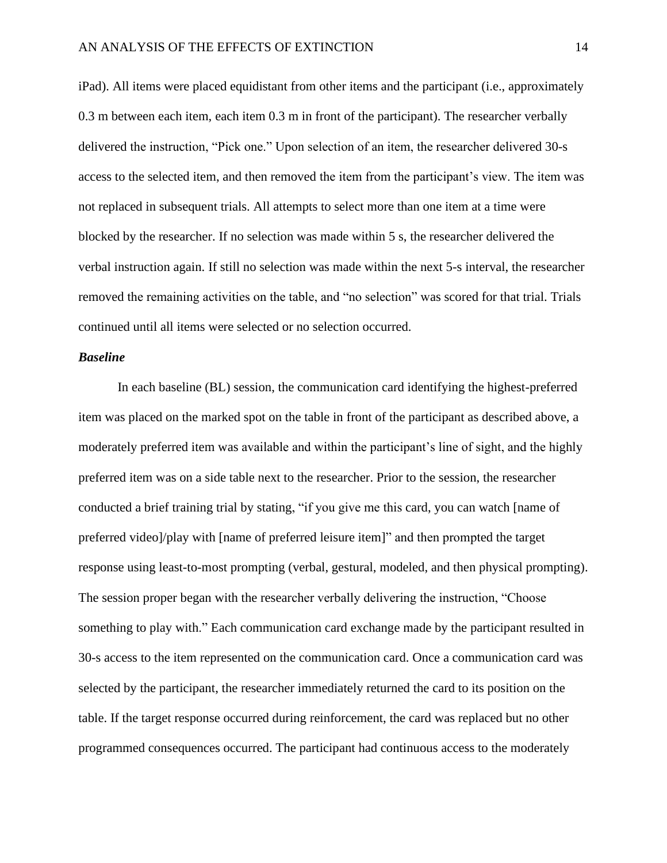iPad). All items were placed equidistant from other items and the participant (i.e., approximately 0.3 m between each item, each item 0.3 m in front of the participant). The researcher verbally delivered the instruction, "Pick one." Upon selection of an item, the researcher delivered 30-s access to the selected item, and then removed the item from the participant's view. The item was not replaced in subsequent trials. All attempts to select more than one item at a time were blocked by the researcher. If no selection was made within 5 s, the researcher delivered the verbal instruction again. If still no selection was made within the next 5-s interval, the researcher removed the remaining activities on the table, and "no selection" was scored for that trial. Trials continued until all items were selected or no selection occurred.

#### *Baseline*

In each baseline (BL) session, the communication card identifying the highest-preferred item was placed on the marked spot on the table in front of the participant as described above, a moderately preferred item was available and within the participant's line of sight, and the highly preferred item was on a side table next to the researcher. Prior to the session, the researcher conducted a brief training trial by stating, "if you give me this card, you can watch [name of preferred video]/play with [name of preferred leisure item]" and then prompted the target response using least-to-most prompting (verbal, gestural, modeled, and then physical prompting). The session proper began with the researcher verbally delivering the instruction, "Choose something to play with." Each communication card exchange made by the participant resulted in 30-s access to the item represented on the communication card. Once a communication card was selected by the participant, the researcher immediately returned the card to its position on the table. If the target response occurred during reinforcement, the card was replaced but no other programmed consequences occurred. The participant had continuous access to the moderately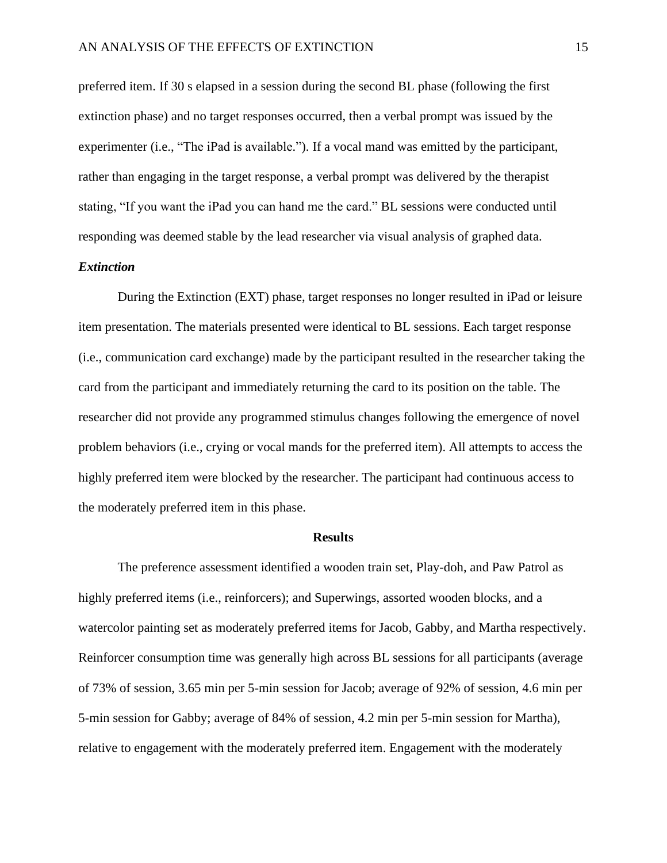preferred item. If 30 s elapsed in a session during the second BL phase (following the first extinction phase) and no target responses occurred, then a verbal prompt was issued by the experimenter (i.e., "The iPad is available."). If a vocal mand was emitted by the participant, rather than engaging in the target response, a verbal prompt was delivered by the therapist stating, "If you want the iPad you can hand me the card." BL sessions were conducted until responding was deemed stable by the lead researcher via visual analysis of graphed data.

#### *Extinction*

During the Extinction (EXT) phase, target responses no longer resulted in iPad or leisure item presentation. The materials presented were identical to BL sessions. Each target response (i.e., communication card exchange) made by the participant resulted in the researcher taking the card from the participant and immediately returning the card to its position on the table. The researcher did not provide any programmed stimulus changes following the emergence of novel problem behaviors (i.e., crying or vocal mands for the preferred item). All attempts to access the highly preferred item were blocked by the researcher. The participant had continuous access to the moderately preferred item in this phase.

#### **Results**

The preference assessment identified a wooden train set, Play-doh, and Paw Patrol as highly preferred items (i.e., reinforcers); and Superwings, assorted wooden blocks, and a watercolor painting set as moderately preferred items for Jacob, Gabby, and Martha respectively. Reinforcer consumption time was generally high across BL sessions for all participants (average of 73% of session, 3.65 min per 5-min session for Jacob; average of 92% of session, 4.6 min per 5-min session for Gabby; average of 84% of session, 4.2 min per 5-min session for Martha), relative to engagement with the moderately preferred item. Engagement with the moderately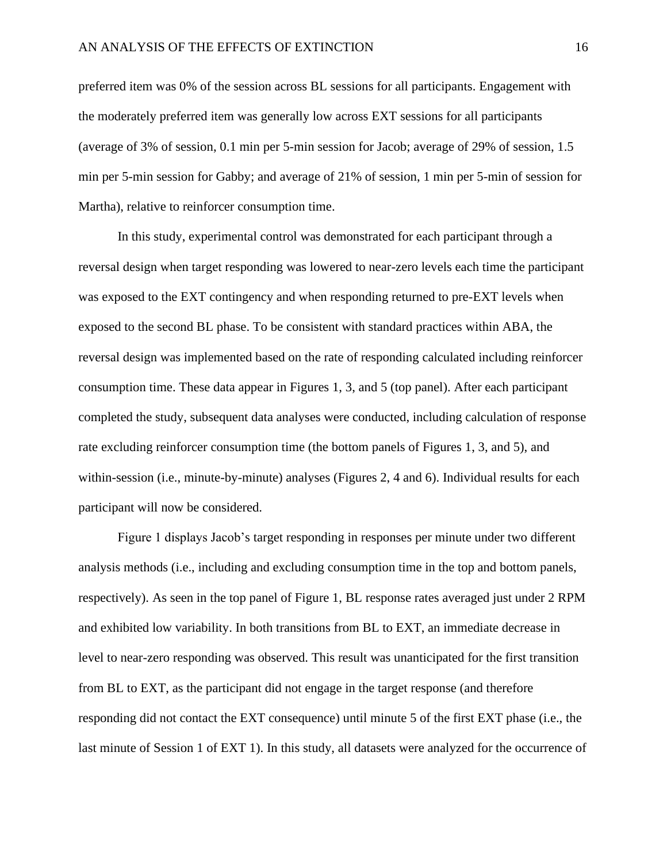preferred item was 0% of the session across BL sessions for all participants. Engagement with the moderately preferred item was generally low across EXT sessions for all participants (average of 3% of session, 0.1 min per 5-min session for Jacob; average of 29% of session, 1.5 min per 5-min session for Gabby; and average of 21% of session, 1 min per 5-min of session for Martha), relative to reinforcer consumption time.

In this study, experimental control was demonstrated for each participant through a reversal design when target responding was lowered to near-zero levels each time the participant was exposed to the EXT contingency and when responding returned to pre-EXT levels when exposed to the second BL phase. To be consistent with standard practices within ABA, the reversal design was implemented based on the rate of responding calculated including reinforcer consumption time. These data appear in Figures 1, 3, and 5 (top panel). After each participant completed the study, subsequent data analyses were conducted, including calculation of response rate excluding reinforcer consumption time (the bottom panels of Figures 1, 3, and 5), and within-session (i.e., minute-by-minute) analyses (Figures 2, 4 and 6). Individual results for each participant will now be considered.

Figure 1 displays Jacob's target responding in responses per minute under two different analysis methods (i.e., including and excluding consumption time in the top and bottom panels, respectively). As seen in the top panel of Figure 1, BL response rates averaged just under 2 RPM and exhibited low variability. In both transitions from BL to EXT, an immediate decrease in level to near-zero responding was observed. This result was unanticipated for the first transition from BL to EXT, as the participant did not engage in the target response (and therefore responding did not contact the EXT consequence) until minute 5 of the first EXT phase (i.e., the last minute of Session 1 of EXT 1). In this study, all datasets were analyzed for the occurrence of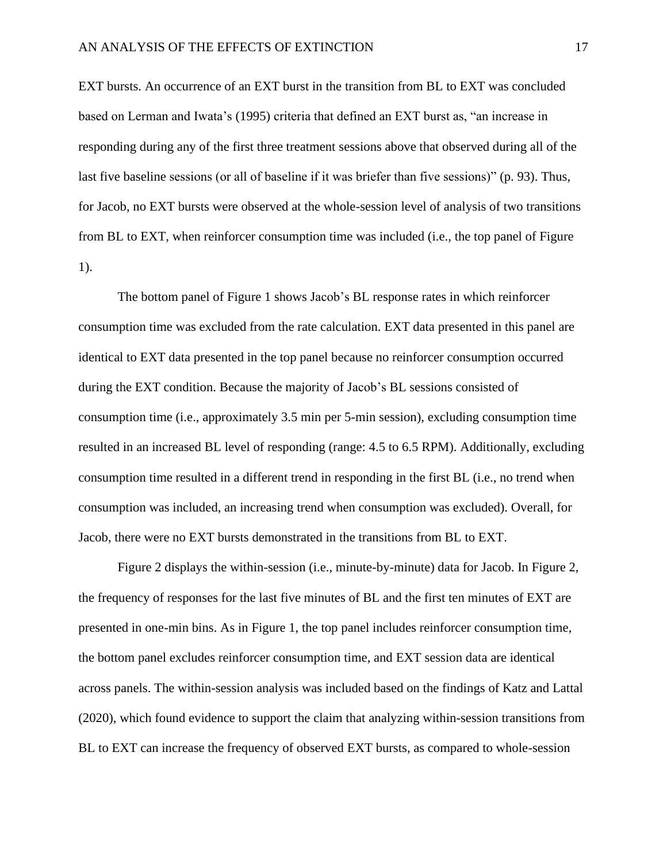EXT bursts. An occurrence of an EXT burst in the transition from BL to EXT was concluded based on Lerman and Iwata's (1995) criteria that defined an EXT burst as, "an increase in responding during any of the first three treatment sessions above that observed during all of the last five baseline sessions (or all of baseline if it was briefer than five sessions)" (p. 93). Thus, for Jacob, no EXT bursts were observed at the whole-session level of analysis of two transitions from BL to EXT, when reinforcer consumption time was included (i.e., the top panel of Figure 1).

The bottom panel of Figure 1 shows Jacob's BL response rates in which reinforcer consumption time was excluded from the rate calculation. EXT data presented in this panel are identical to EXT data presented in the top panel because no reinforcer consumption occurred during the EXT condition. Because the majority of Jacob's BL sessions consisted of consumption time (i.e., approximately 3.5 min per 5-min session), excluding consumption time resulted in an increased BL level of responding (range: 4.5 to 6.5 RPM). Additionally, excluding consumption time resulted in a different trend in responding in the first BL (i.e., no trend when consumption was included, an increasing trend when consumption was excluded). Overall, for Jacob, there were no EXT bursts demonstrated in the transitions from BL to EXT.

Figure 2 displays the within-session (i.e., minute-by-minute) data for Jacob. In Figure 2, the frequency of responses for the last five minutes of BL and the first ten minutes of EXT are presented in one-min bins. As in Figure 1, the top panel includes reinforcer consumption time, the bottom panel excludes reinforcer consumption time, and EXT session data are identical across panels. The within-session analysis was included based on the findings of Katz and Lattal (2020), which found evidence to support the claim that analyzing within-session transitions from BL to EXT can increase the frequency of observed EXT bursts, as compared to whole-session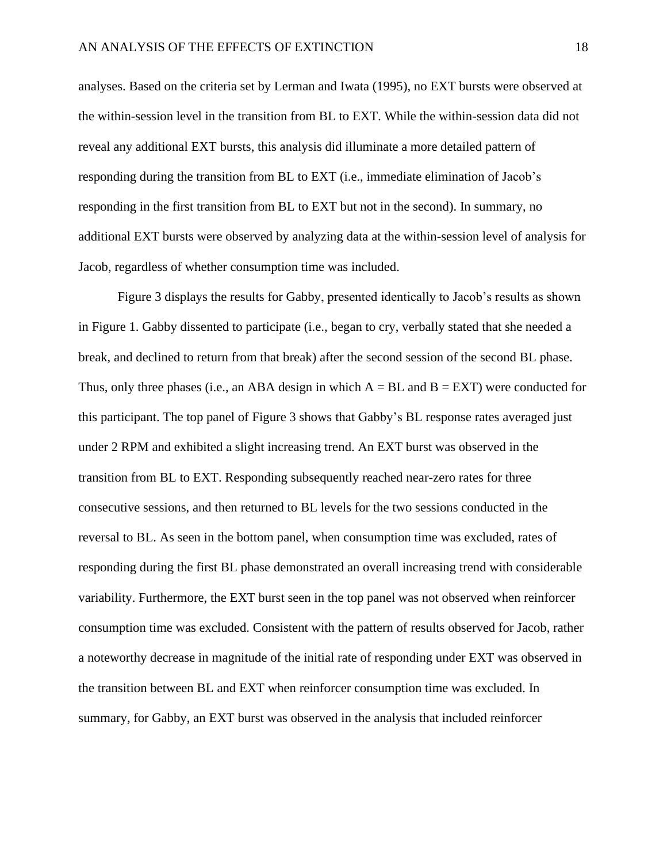analyses. Based on the criteria set by Lerman and Iwata (1995), no EXT bursts were observed at the within-session level in the transition from BL to EXT. While the within-session data did not reveal any additional EXT bursts, this analysis did illuminate a more detailed pattern of responding during the transition from BL to EXT (i.e., immediate elimination of Jacob's responding in the first transition from BL to EXT but not in the second). In summary, no additional EXT bursts were observed by analyzing data at the within-session level of analysis for Jacob, regardless of whether consumption time was included.

Figure 3 displays the results for Gabby, presented identically to Jacob's results as shown in Figure 1. Gabby dissented to participate (i.e., began to cry, verbally stated that she needed a break, and declined to return from that break) after the second session of the second BL phase. Thus, only three phases (i.e., an ABA design in which  $A = BL$  and  $B = EXT$ ) were conducted for this participant. The top panel of Figure 3 shows that Gabby's BL response rates averaged just under 2 RPM and exhibited a slight increasing trend. An EXT burst was observed in the transition from BL to EXT. Responding subsequently reached near-zero rates for three consecutive sessions, and then returned to BL levels for the two sessions conducted in the reversal to BL. As seen in the bottom panel, when consumption time was excluded, rates of responding during the first BL phase demonstrated an overall increasing trend with considerable variability. Furthermore, the EXT burst seen in the top panel was not observed when reinforcer consumption time was excluded. Consistent with the pattern of results observed for Jacob, rather a noteworthy decrease in magnitude of the initial rate of responding under EXT was observed in the transition between BL and EXT when reinforcer consumption time was excluded. In summary, for Gabby, an EXT burst was observed in the analysis that included reinforcer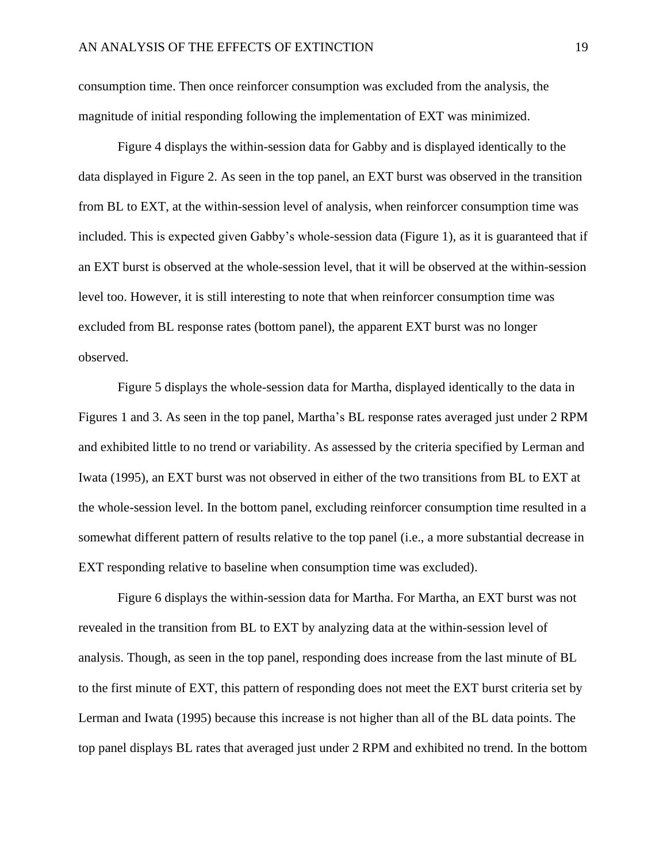consumption time. Then once reinforcer consumption was excluded from the analysis, the magnitude of initial responding following the implementation of EXT was minimized.

Figure 4 displays the within-session data for Gabby and is displayed identically to the data displayed in Figure 2. As seen in the top panel, an EXT burst was observed in the transition from BL to EXT, at the within-session level of analysis, when reinforcer consumption time was included. This is expected given Gabby's whole-session data (Figure 1), as it is guaranteed that if an EXT burst is observed at the whole-session level, that it will be observed at the within-session level too. However, it is still interesting to note that when reinforcer consumption time was excluded from BL response rates (bottom panel), the apparent EXT burst was no longer observed.

Figure 5 displays the whole-session data for Martha, displayed identically to the data in Figures 1 and 3. As seen in the top panel, Martha's BL response rates averaged just under 2 RPM and exhibited little to no trend or variability. As assessed by the criteria specified by Lerman and Iwata (1995), an EXT burst was not observed in either of the two transitions from BL to EXT at the whole-session level. In the bottom panel, excluding reinforcer consumption time resulted in a somewhat different pattern of results relative to the top panel (i.e., a more substantial decrease in EXT responding relative to baseline when consumption time was excluded).

Figure 6 displays the within-session data for Martha. For Martha, an EXT burst was not revealed in the transition from BL to EXT by analyzing data at the within-session level of analysis. Though, as seen in the top panel, responding does increase from the last minute of BL to the first minute of EXT, this pattern of responding does not meet the EXT burst criteria set by Lerman and Iwata (1995) because this increase is not higher than all of the BL data points. The top panel displays BL rates that averaged just under 2 RPM and exhibited no trend. In the bottom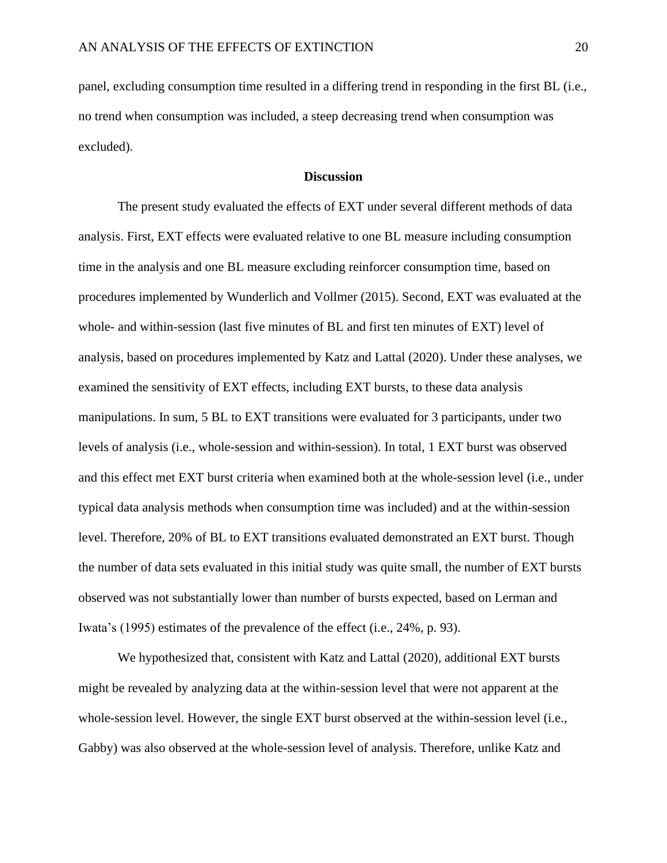panel, excluding consumption time resulted in a differing trend in responding in the first BL (i.e., no trend when consumption was included, a steep decreasing trend when consumption was excluded).

#### **Discussion**

The present study evaluated the effects of EXT under several different methods of data analysis. First, EXT effects were evaluated relative to one BL measure including consumption time in the analysis and one BL measure excluding reinforcer consumption time, based on procedures implemented by Wunderlich and Vollmer (2015). Second, EXT was evaluated at the whole- and within-session (last five minutes of BL and first ten minutes of EXT) level of analysis, based on procedures implemented by Katz and Lattal (2020). Under these analyses, we examined the sensitivity of EXT effects, including EXT bursts, to these data analysis manipulations. In sum, 5 BL to EXT transitions were evaluated for 3 participants, under two levels of analysis (i.e., whole-session and within-session). In total, 1 EXT burst was observed and this effect met EXT burst criteria when examined both at the whole-session level (i.e., under typical data analysis methods when consumption time was included) and at the within-session level. Therefore, 20% of BL to EXT transitions evaluated demonstrated an EXT burst. Though the number of data sets evaluated in this initial study was quite small, the number of EXT bursts observed was not substantially lower than number of bursts expected, based on Lerman and Iwata's (1995) estimates of the prevalence of the effect (i.e., 24%, p. 93).

We hypothesized that, consistent with Katz and Lattal (2020), additional EXT bursts might be revealed by analyzing data at the within-session level that were not apparent at the whole-session level. However, the single EXT burst observed at the within-session level (i.e., Gabby) was also observed at the whole-session level of analysis. Therefore, unlike Katz and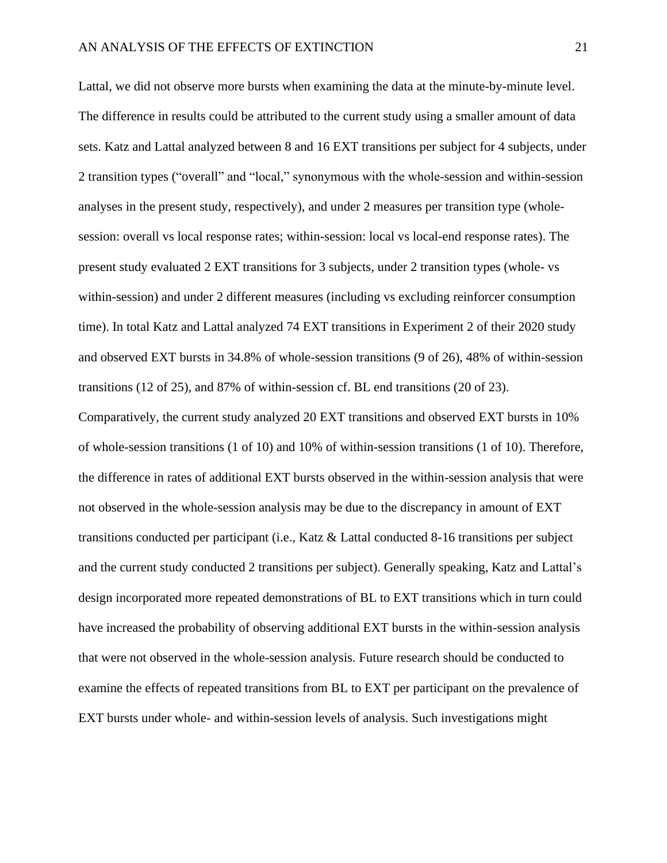Lattal, we did not observe more bursts when examining the data at the minute-by-minute level. The difference in results could be attributed to the current study using a smaller amount of data sets. Katz and Lattal analyzed between 8 and 16 EXT transitions per subject for 4 subjects, under 2 transition types ("overall" and "local," synonymous with the whole-session and within-session analyses in the present study, respectively), and under 2 measures per transition type (wholesession: overall vs local response rates; within-session: local vs local-end response rates). The present study evaluated 2 EXT transitions for 3 subjects, under 2 transition types (whole- vs within-session) and under 2 different measures (including vs excluding reinforcer consumption time). In total Katz and Lattal analyzed 74 EXT transitions in Experiment 2 of their 2020 study and observed EXT bursts in 34.8% of whole-session transitions (9 of 26), 48% of within-session transitions (12 of 25), and 87% of within-session cf. BL end transitions (20 of 23).

Comparatively, the current study analyzed 20 EXT transitions and observed EXT bursts in 10% of whole-session transitions (1 of 10) and 10% of within-session transitions (1 of 10). Therefore, the difference in rates of additional EXT bursts observed in the within-session analysis that were not observed in the whole-session analysis may be due to the discrepancy in amount of EXT transitions conducted per participant (i.e., Katz & Lattal conducted 8-16 transitions per subject and the current study conducted 2 transitions per subject). Generally speaking, Katz and Lattal's design incorporated more repeated demonstrations of BL to EXT transitions which in turn could have increased the probability of observing additional EXT bursts in the within-session analysis that were not observed in the whole-session analysis. Future research should be conducted to examine the effects of repeated transitions from BL to EXT per participant on the prevalence of EXT bursts under whole- and within-session levels of analysis. Such investigations might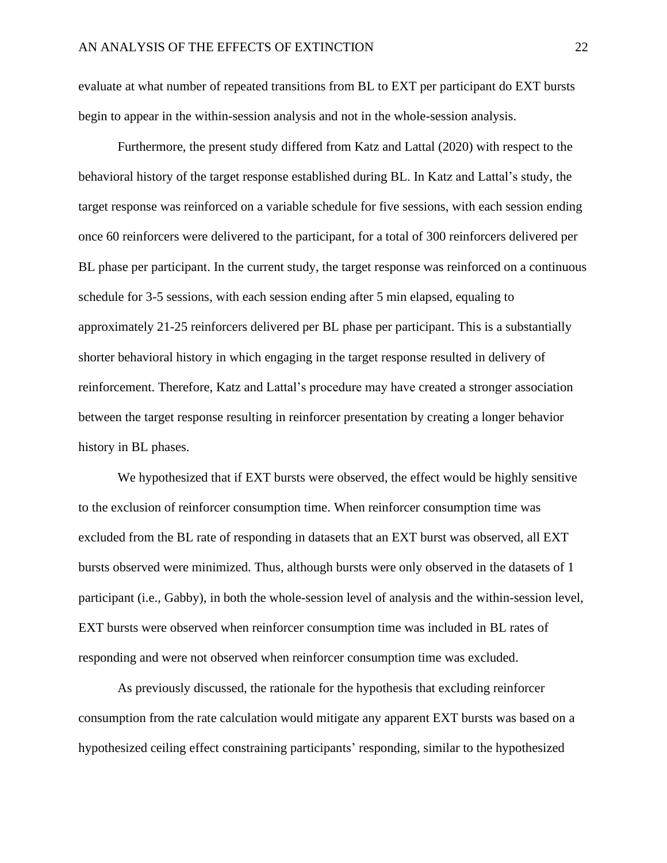evaluate at what number of repeated transitions from BL to EXT per participant do EXT bursts begin to appear in the within-session analysis and not in the whole-session analysis.

Furthermore, the present study differed from Katz and Lattal (2020) with respect to the behavioral history of the target response established during BL. In Katz and Lattal's study, the target response was reinforced on a variable schedule for five sessions, with each session ending once 60 reinforcers were delivered to the participant, for a total of 300 reinforcers delivered per BL phase per participant. In the current study, the target response was reinforced on a continuous schedule for 3-5 sessions, with each session ending after 5 min elapsed, equaling to approximately 21-25 reinforcers delivered per BL phase per participant. This is a substantially shorter behavioral history in which engaging in the target response resulted in delivery of reinforcement. Therefore, Katz and Lattal's procedure may have created a stronger association between the target response resulting in reinforcer presentation by creating a longer behavior history in BL phases.

We hypothesized that if EXT bursts were observed, the effect would be highly sensitive to the exclusion of reinforcer consumption time. When reinforcer consumption time was excluded from the BL rate of responding in datasets that an EXT burst was observed, all EXT bursts observed were minimized. Thus, although bursts were only observed in the datasets of 1 participant (i.e., Gabby), in both the whole-session level of analysis and the within-session level, EXT bursts were observed when reinforcer consumption time was included in BL rates of responding and were not observed when reinforcer consumption time was excluded.

As previously discussed, the rationale for the hypothesis that excluding reinforcer consumption from the rate calculation would mitigate any apparent EXT bursts was based on a hypothesized ceiling effect constraining participants' responding, similar to the hypothesized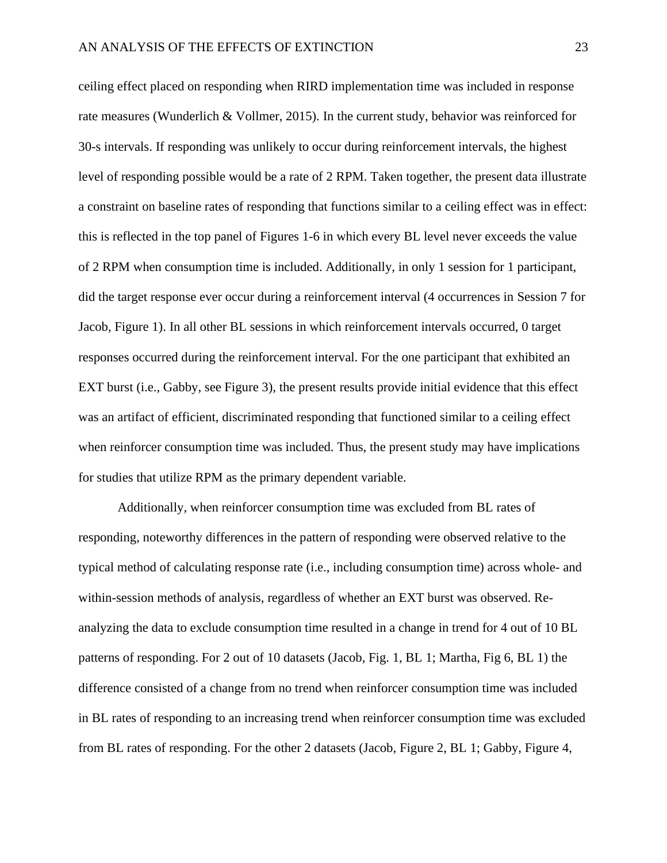ceiling effect placed on responding when RIRD implementation time was included in response rate measures (Wunderlich & Vollmer, 2015). In the current study, behavior was reinforced for 30-s intervals. If responding was unlikely to occur during reinforcement intervals, the highest level of responding possible would be a rate of 2 RPM. Taken together, the present data illustrate a constraint on baseline rates of responding that functions similar to a ceiling effect was in effect: this is reflected in the top panel of Figures 1-6 in which every BL level never exceeds the value of 2 RPM when consumption time is included. Additionally, in only 1 session for 1 participant, did the target response ever occur during a reinforcement interval (4 occurrences in Session 7 for Jacob, Figure 1). In all other BL sessions in which reinforcement intervals occurred, 0 target responses occurred during the reinforcement interval. For the one participant that exhibited an EXT burst (i.e., Gabby, see Figure 3), the present results provide initial evidence that this effect was an artifact of efficient, discriminated responding that functioned similar to a ceiling effect when reinforcer consumption time was included. Thus, the present study may have implications for studies that utilize RPM as the primary dependent variable.

Additionally, when reinforcer consumption time was excluded from BL rates of responding, noteworthy differences in the pattern of responding were observed relative to the typical method of calculating response rate (i.e., including consumption time) across whole- and within-session methods of analysis, regardless of whether an EXT burst was observed. Reanalyzing the data to exclude consumption time resulted in a change in trend for 4 out of 10 BL patterns of responding. For 2 out of 10 datasets (Jacob, Fig. 1, BL 1; Martha, Fig 6, BL 1) the difference consisted of a change from no trend when reinforcer consumption time was included in BL rates of responding to an increasing trend when reinforcer consumption time was excluded from BL rates of responding. For the other 2 datasets (Jacob, Figure 2, BL 1; Gabby, Figure 4,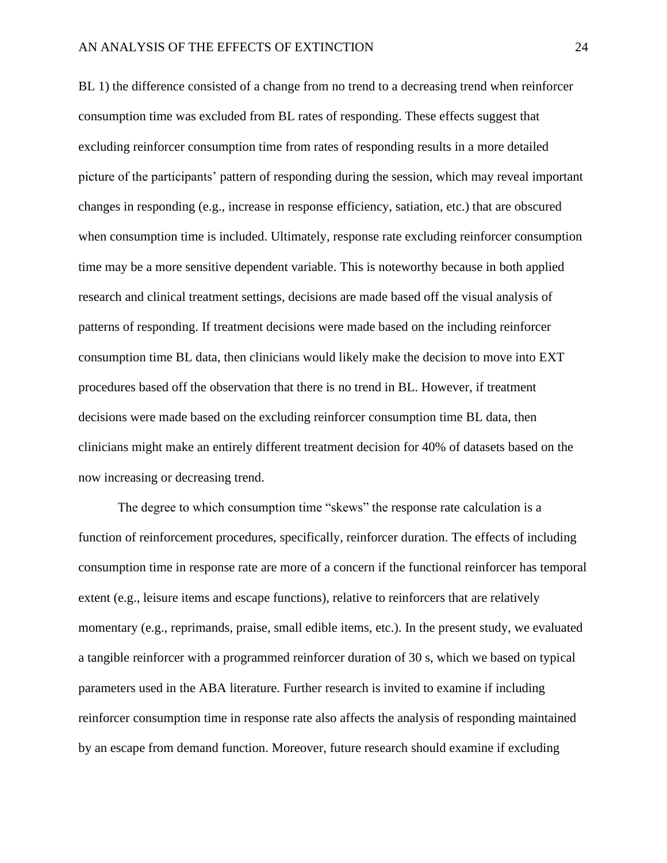BL 1) the difference consisted of a change from no trend to a decreasing trend when reinforcer consumption time was excluded from BL rates of responding. These effects suggest that excluding reinforcer consumption time from rates of responding results in a more detailed picture of the participants' pattern of responding during the session, which may reveal important changes in responding (e.g., increase in response efficiency, satiation, etc.) that are obscured when consumption time is included. Ultimately, response rate excluding reinforcer consumption time may be a more sensitive dependent variable. This is noteworthy because in both applied research and clinical treatment settings, decisions are made based off the visual analysis of patterns of responding. If treatment decisions were made based on the including reinforcer consumption time BL data, then clinicians would likely make the decision to move into EXT procedures based off the observation that there is no trend in BL. However, if treatment decisions were made based on the excluding reinforcer consumption time BL data, then clinicians might make an entirely different treatment decision for 40% of datasets based on the now increasing or decreasing trend.

The degree to which consumption time "skews" the response rate calculation is a function of reinforcement procedures, specifically, reinforcer duration. The effects of including consumption time in response rate are more of a concern if the functional reinforcer has temporal extent (e.g., leisure items and escape functions), relative to reinforcers that are relatively momentary (e.g., reprimands, praise, small edible items, etc.). In the present study, we evaluated a tangible reinforcer with a programmed reinforcer duration of 30 s, which we based on typical parameters used in the ABA literature. Further research is invited to examine if including reinforcer consumption time in response rate also affects the analysis of responding maintained by an escape from demand function. Moreover, future research should examine if excluding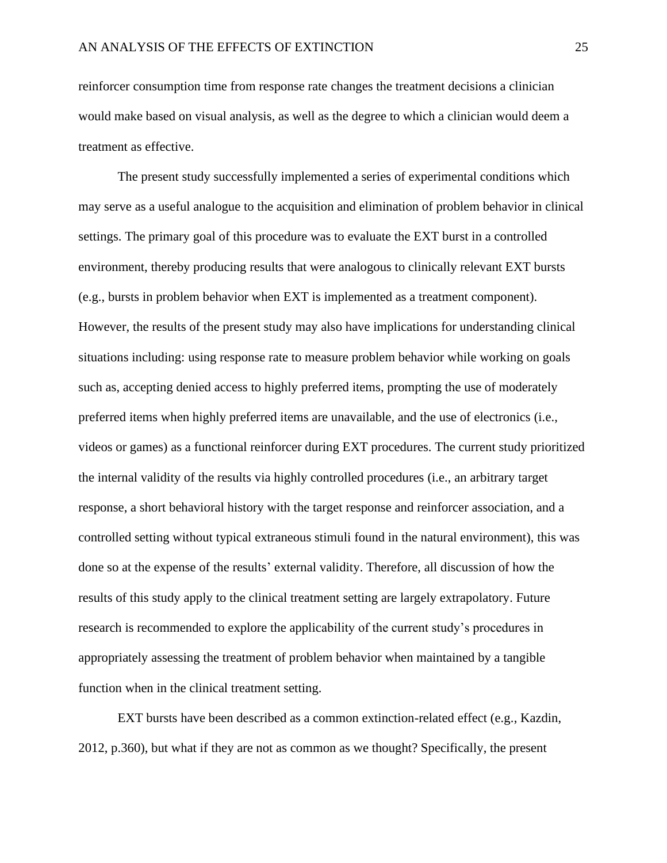reinforcer consumption time from response rate changes the treatment decisions a clinician would make based on visual analysis, as well as the degree to which a clinician would deem a treatment as effective.

The present study successfully implemented a series of experimental conditions which may serve as a useful analogue to the acquisition and elimination of problem behavior in clinical settings. The primary goal of this procedure was to evaluate the EXT burst in a controlled environment, thereby producing results that were analogous to clinically relevant EXT bursts (e.g., bursts in problem behavior when EXT is implemented as a treatment component). However, the results of the present study may also have implications for understanding clinical situations including: using response rate to measure problem behavior while working on goals such as, accepting denied access to highly preferred items, prompting the use of moderately preferred items when highly preferred items are unavailable, and the use of electronics (i.e., videos or games) as a functional reinforcer during EXT procedures. The current study prioritized the internal validity of the results via highly controlled procedures (i.e., an arbitrary target response, a short behavioral history with the target response and reinforcer association, and a controlled setting without typical extraneous stimuli found in the natural environment), this was done so at the expense of the results' external validity. Therefore, all discussion of how the results of this study apply to the clinical treatment setting are largely extrapolatory. Future research is recommended to explore the applicability of the current study's procedures in appropriately assessing the treatment of problem behavior when maintained by a tangible function when in the clinical treatment setting.

EXT bursts have been described as a common extinction-related effect (e.g., Kazdin, 2012, p.360), but what if they are not as common as we thought? Specifically, the present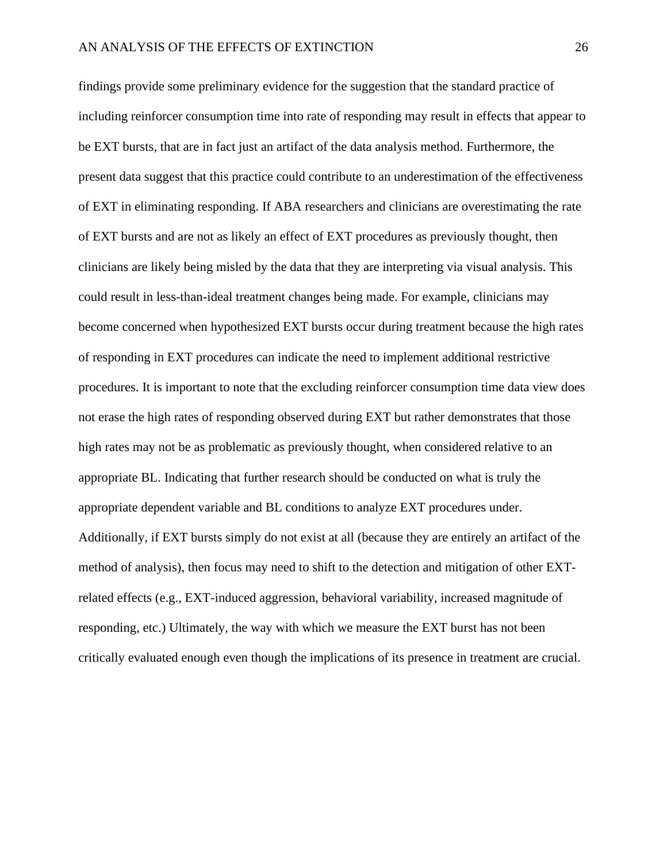findings provide some preliminary evidence for the suggestion that the standard practice of including reinforcer consumption time into rate of responding may result in effects that appear to be EXT bursts, that are in fact just an artifact of the data analysis method. Furthermore, the present data suggest that this practice could contribute to an underestimation of the effectiveness of EXT in eliminating responding. If ABA researchers and clinicians are overestimating the rate of EXT bursts and are not as likely an effect of EXT procedures as previously thought, then clinicians are likely being misled by the data that they are interpreting via visual analysis. This could result in less-than-ideal treatment changes being made. For example, clinicians may become concerned when hypothesized EXT bursts occur during treatment because the high rates of responding in EXT procedures can indicate the need to implement additional restrictive procedures. It is important to note that the excluding reinforcer consumption time data view does not erase the high rates of responding observed during EXT but rather demonstrates that those high rates may not be as problematic as previously thought, when considered relative to an appropriate BL. Indicating that further research should be conducted on what is truly the appropriate dependent variable and BL conditions to analyze EXT procedures under. Additionally, if EXT bursts simply do not exist at all (because they are entirely an artifact of the method of analysis), then focus may need to shift to the detection and mitigation of other EXTrelated effects (e.g., EXT-induced aggression, behavioral variability, increased magnitude of responding, etc.) Ultimately, the way with which we measure the EXT burst has not been critically evaluated enough even though the implications of its presence in treatment are crucial.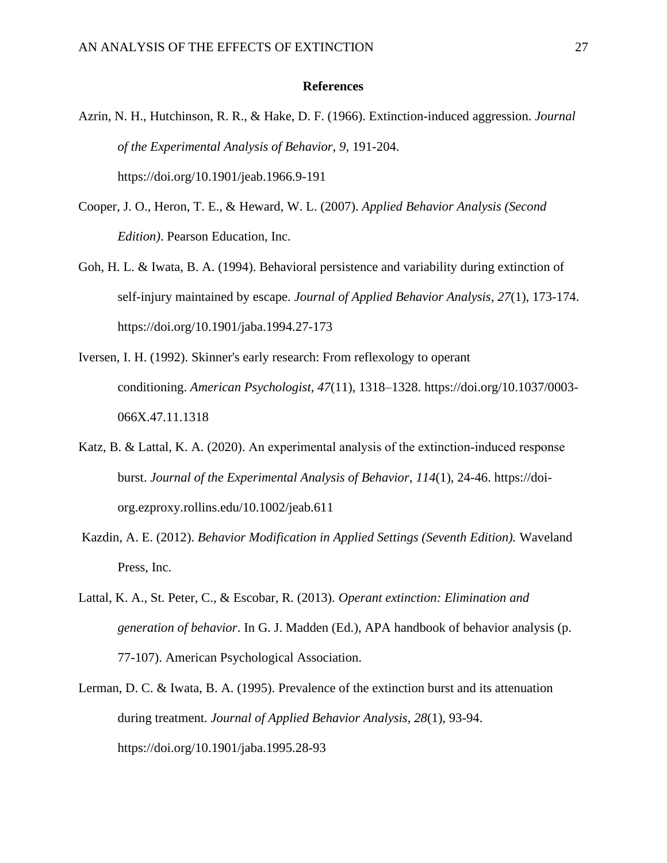#### **References**

- Azrin, N. H., Hutchinson, R. R., & Hake, D. F. (1966). Extinction-induced aggression. *Journal of the Experimental Analysis of Behavior, 9,* 191-204. https://doi.org/10.1901/jeab.1966.9-191
- Cooper, J. O., Heron, T. E., & Heward, W. L. (2007). *Applied Behavior Analysis (Second Edition)*. Pearson Education, Inc.
- Goh, H. L. & Iwata, B. A. (1994). Behavioral persistence and variability during extinction of self-injury maintained by escape. *Journal of Applied Behavior Analysis*, *27*(1), 173-174. https://doi.org/10.1901/jaba.1994.27-173
- Iversen, I. H. (1992). Skinner's early research: From reflexology to operant conditioning. *American Psychologist, 47*(11), 1318–1328. [https://doi.org/10.1037/0003-](https://psycnet.apa.org/doi/10.1037/0003-066X.47.11.1318) [066X.47.11.1318](https://psycnet.apa.org/doi/10.1037/0003-066X.47.11.1318)
- Katz, B. & Lattal, K. A. (2020). An experimental analysis of the extinction-induced response burst. *Journal of the Experimental Analysis of Behavior*, *114*(1), 24-46. [https://doi](https://doi-org.ezproxy.rollins.edu/10.1002/jeab.611)[org.ezproxy.rollins.edu/10.1002/jeab.611](https://doi-org.ezproxy.rollins.edu/10.1002/jeab.611)
- Kazdin, A. E. (2012). *Behavior Modification in Applied Settings (Seventh Edition).* Waveland Press, Inc.
- Lattal, K. A., St. Peter, C., & Escobar, R. (2013). *Operant extinction: Elimination and generation of behavior*. In G. J. Madden (Ed.), APA handbook of behavior analysis (p. 77-107). American Psychological Association.
- Lerman, D. C. & Iwata, B. A. (1995). Prevalence of the extinction burst and its attenuation during treatment. *Journal of Applied Behavior Analysis*, *28*(1), 93-94. https://doi.org/10.1901/jaba.1995.28-93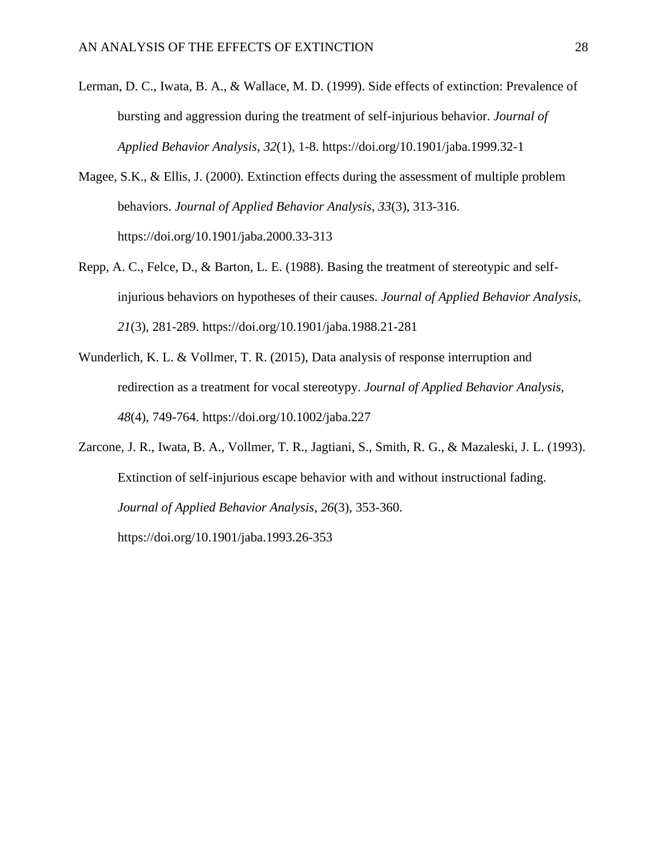- Lerman, D. C., Iwata, B. A., & Wallace, M. D. (1999). Side effects of extinction: Prevalence of bursting and aggression during the treatment of self-injurious behavior. *Journal of Applied Behavior Analysis*, *32*(1), 1-8. https://doi.org/10.1901/jaba.1999.32-1
- Magee, S.K., & Ellis, J. (2000). Extinction effects during the assessment of multiple problem behaviors. *Journal of Applied Behavior Analysis, 33*(3), 313-316. https://doi.org[/10.1901/jaba.2000.33-313](https://doi.org/10.1901/jaba.2000.33-313)
- Repp, A. C., Felce, D., & Barton, L. E. (1988). Basing the treatment of stereotypic and selfinjurious behaviors on hypotheses of their causes. *Journal of Applied Behavior Analysis, 21*(3), 281-289. https://doi.org[/10.1901/jaba.1988.21-281](https://doi-org.ezproxy.rollins.edu/10.1901/jaba.1988.21-281)
- Wunderlich, K. L. & Vollmer, T. R. (2015), Data analysis of response interruption and redirection as a treatment for vocal stereotypy. *Journal of Applied Behavior Analysis, 48*(4), 749-764. https://doi.org[/10.1002/jaba.227](https://doi.org/10.1002/jaba.227)

Zarcone, J. R., Iwata, B. A., Vollmer, T. R., Jagtiani, S., Smith, R. G., & Mazaleski, J. L. (1993). Extinction of self-injurious escape behavior with and without instructional fading. *Journal of Applied Behavior Analysis*, *26*(3), 353-360. https://doi.org[/10.1901/jaba.1993.26-353](https://doi-org.ezproxy.rollins.edu/10.1901/jaba.1993.26-353)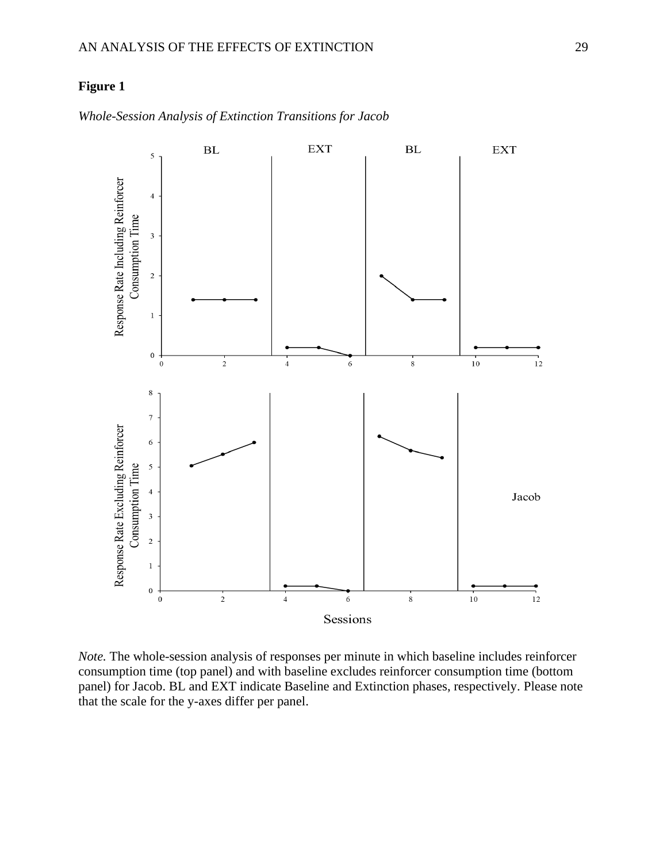

*Whole-Session Analysis of Extinction Transitions for Jacob*

*Note.* The whole-session analysis of responses per minute in which baseline includes reinforcer consumption time (top panel) and with baseline excludes reinforcer consumption time (bottom panel) for Jacob. BL and EXT indicate Baseline and Extinction phases, respectively. Please note that the scale for the y-axes differ per panel.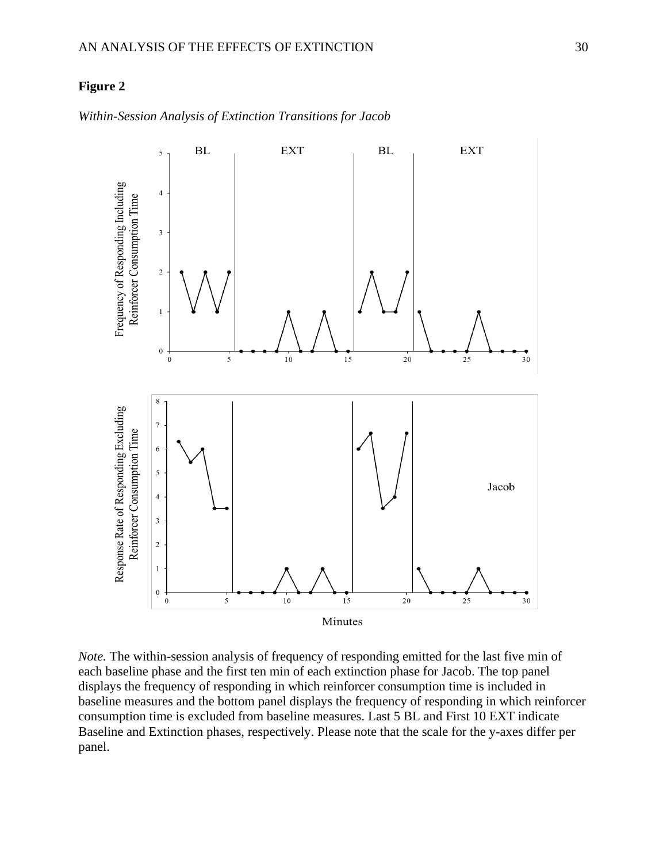

*Within-Session Analysis of Extinction Transitions for Jacob*

*Note.* The within-session analysis of frequency of responding emitted for the last five min of each baseline phase and the first ten min of each extinction phase for Jacob. The top panel displays the frequency of responding in which reinforcer consumption time is included in baseline measures and the bottom panel displays the frequency of responding in which reinforcer consumption time is excluded from baseline measures. Last 5 BL and First 10 EXT indicate Baseline and Extinction phases, respectively. Please note that the scale for the y-axes differ per panel.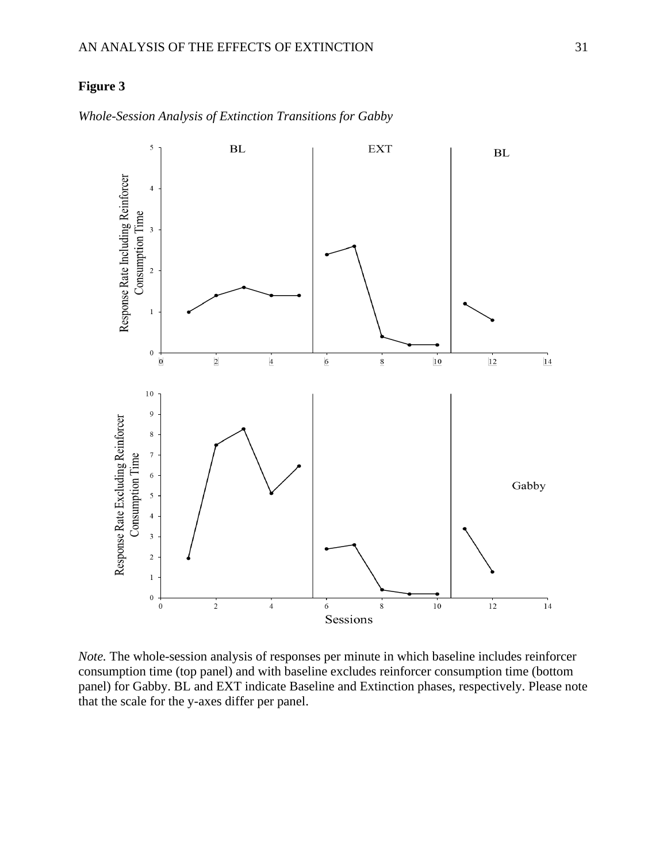

*Whole-Session Analysis of Extinction Transitions for Gabby*

*Note.* The whole-session analysis of responses per minute in which baseline includes reinforcer consumption time (top panel) and with baseline excludes reinforcer consumption time (bottom panel) for Gabby. BL and EXT indicate Baseline and Extinction phases, respectively. Please note that the scale for the y-axes differ per panel.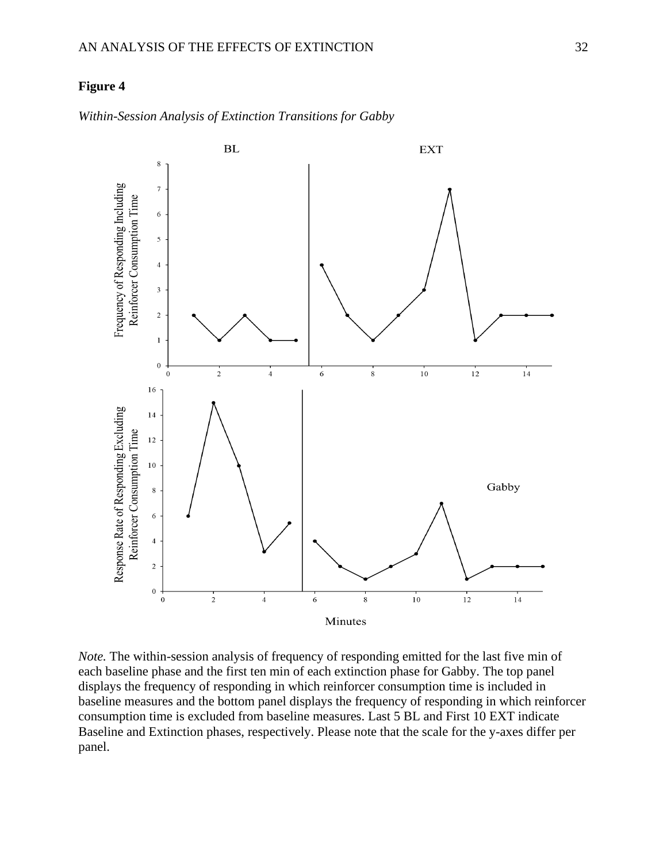

*Within-Session Analysis of Extinction Transitions for Gabby*

*Note*. The within-session analysis of frequency of responding emitted for the last five min of each baseline phase and the first ten min of each extinction phase for Gabby. The top panel displays the frequency of responding in which reinforcer consumption time is included in baseline measures and the bottom panel displays the frequency of responding in which reinforcer consumption time is excluded from baseline measures. Last 5 BL and First 10 EXT indicate Baseline and Extinction phases, respectively. Please note that the scale for the y-axes differ per panel.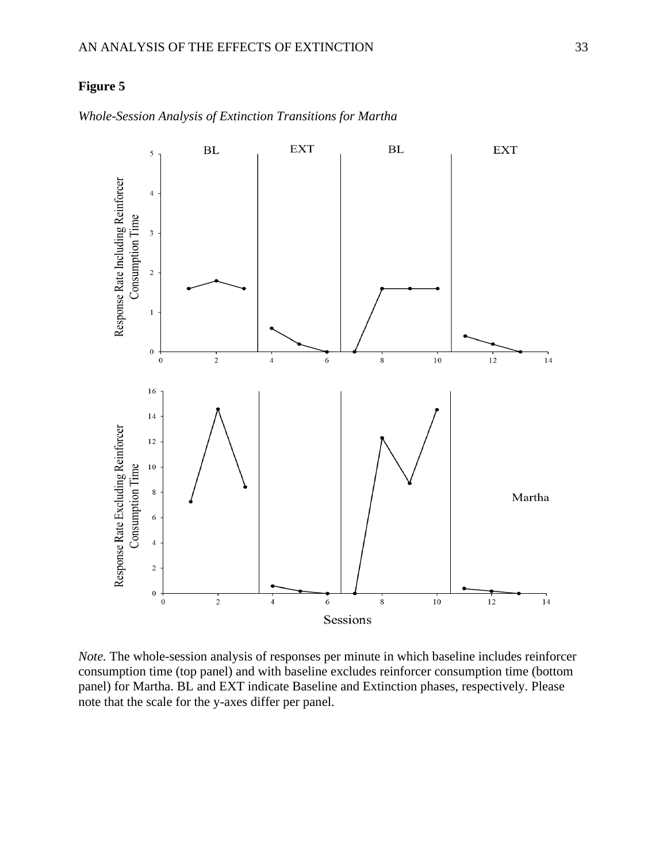

*Whole-Session Analysis of Extinction Transitions for Martha*

*Note.* The whole-session analysis of responses per minute in which baseline includes reinforcer consumption time (top panel) and with baseline excludes reinforcer consumption time (bottom panel) for Martha. BL and EXT indicate Baseline and Extinction phases, respectively. Please note that the scale for the y-axes differ per panel.